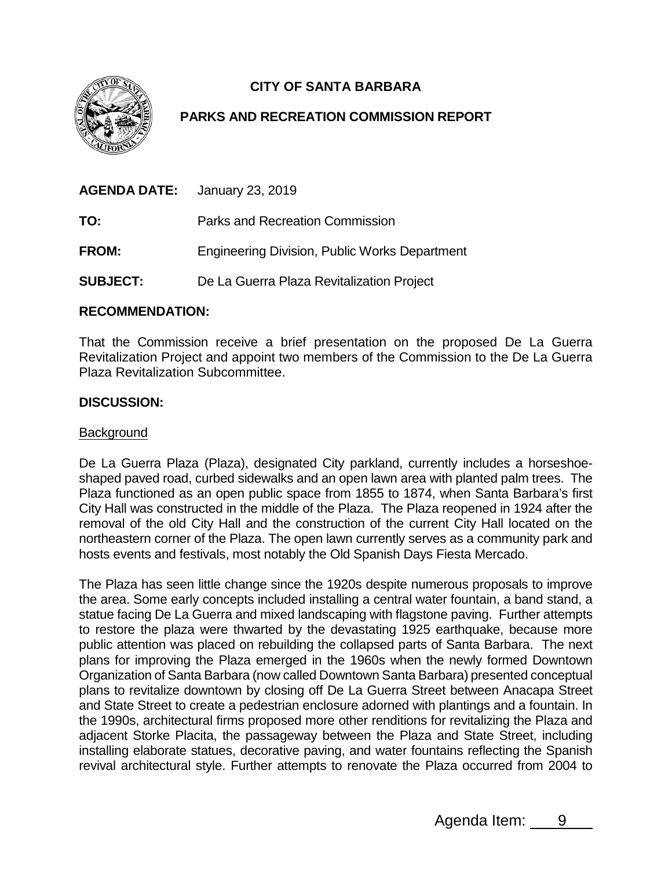

# **CITY OF SANTA BARBARA**

## **PARKS AND RECREATION COMMISSION REPORT**

| <b>AGENDA DATE:</b> | January 23, 2019                                     |
|---------------------|------------------------------------------------------|
| TO:                 | Parks and Recreation Commission                      |
| <b>FROM:</b>        | <b>Engineering Division, Public Works Department</b> |
| <b>SUBJECT:</b>     | De La Guerra Plaza Revitalization Project            |

### **RECOMMENDATION:**

That the Commission receive a brief presentation on the proposed De La Guerra Revitalization Project and appoint two members of the Commission to the De La Guerra Plaza Revitalization Subcommittee.

### **DISCUSSION:**

#### **Background**

De La Guerra Plaza (Plaza), designated City parkland, currently includes a horseshoeshaped paved road, curbed sidewalks and an open lawn area with planted palm trees. The Plaza functioned as an open public space from 1855 to 1874, when Santa Barbara's first City Hall was constructed in the middle of the Plaza. The Plaza reopened in 1924 after the removal of the old City Hall and the construction of the current City Hall located on the northeastern corner of the Plaza. The open lawn currently serves as a community park and hosts events and festivals, most notably the Old Spanish Days Fiesta Mercado.

The Plaza has seen little change since the 1920s despite numerous proposals to improve the area. Some early concepts included installing a central water fountain, a band stand, a statue facing De La Guerra and mixed landscaping with flagstone paving. Further attempts to restore the plaza were thwarted by the devastating 1925 earthquake, because more public attention was placed on rebuilding the collapsed parts of Santa Barbara. The next plans for improving the Plaza emerged in the 1960s when the newly formed Downtown Organization of Santa Barbara (now called Downtown Santa Barbara) presented conceptual plans to revitalize downtown by closing off De La Guerra Street between Anacapa Street and State Street to create a pedestrian enclosure adorned with plantings and a fountain. In the 1990s, architectural firms proposed more other renditions for revitalizing the Plaza and adjacent Storke Placita, the passageway between the Plaza and State Street, including installing elaborate statues, decorative paving, and water fountains reflecting the Spanish revival architectural style. Further attempts to renovate the Plaza occurred from 2004 to

Agenda Item: 9